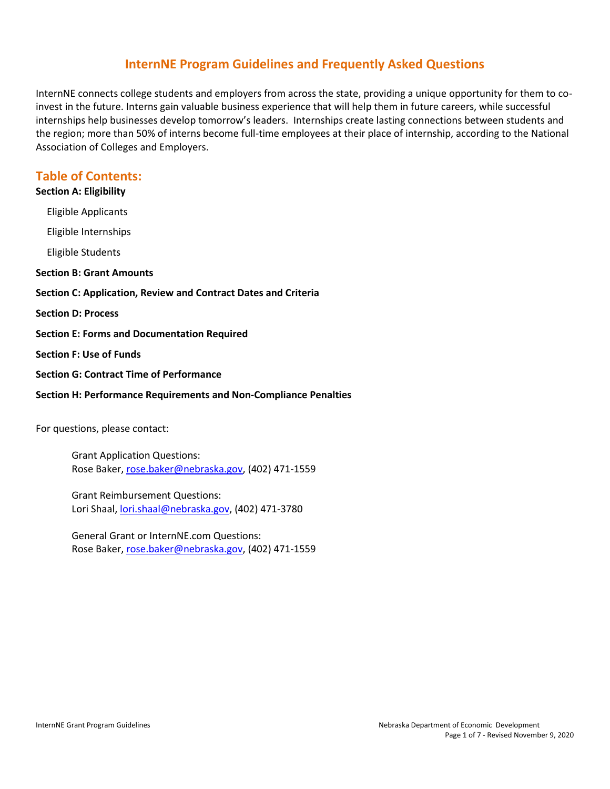# **InternNE Program Guidelines and Frequently Asked Questions**

InternNE connects college students and employers from across the state, providing a unique opportunity for them to coinvest in the future. Interns gain valuable business experience that will help them in future careers, while successful internships help businesses develop tomorrow's leaders. Internships create lasting connections between students and the region; more than 50% of interns become full-time employees at their place of internship, according to the National Association of Colleges and Employers.

## **Table of Contents:**

## **[Section A: Eligibility](#page-0-0)**

[Eligible Applicants](#page-1-0)

[Eligible Internships](#page-1-1)

[Eligible Students](#page-1-2)

#### **[Section B: Grant Amounts](#page-2-0)**

**[Section C: Application, Review and Contract Dates and Criteria](#page-2-1)**

**[Section D: Process](#page-3-0)**

- **[Section E: Forms and Documentation Required](#page-5-0)**
- **[Section F: Use of Funds](#page-5-1)**
- **[Section G: Contract Time of Performance](#page-5-2)**

#### **[Section H: Performance Requirements](#page-6-0) and Non-Compliance Penalties**

For questions, please contact:

Grant Application Questions: Rose Baker, [rose.baker@nebraska.gov,](mailto:rose.baker@nebraska.gov) (402) 471-1559

Grant Reimbursement Questions: Lori Shaal[, lori.shaal@nebraska.gov,](mailto:lori.shaal@nebraska.gov) (402) 471-3780

<span id="page-0-0"></span>General Grant or InternNE.com Questions: Rose Baker, [rose.baker@nebraska.gov,](mailto:rose.baker@nebraska.gov) (402) 471-1559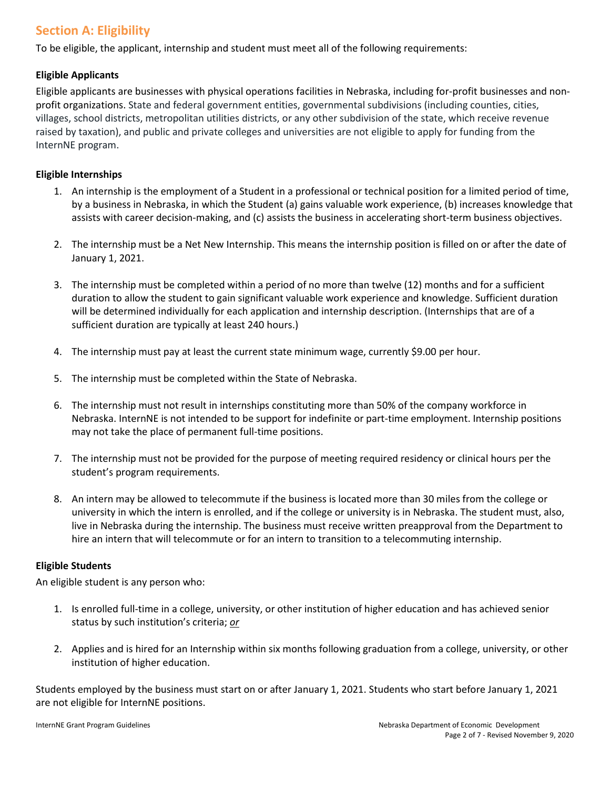# **Section A: Eligibility**

To be eligible, the applicant, internship and student must meet all of the following requirements:

## <span id="page-1-0"></span>**Eligible Applicants**

Eligible applicants are businesses with physical operations facilities in Nebraska, including for-profit businesses and nonprofit organizations. State and federal government entities, governmental subdivisions (including counties, cities, villages, school districts, metropolitan utilities districts, or any other subdivision of the state, which receive revenue raised by taxation), and public and private colleges and universities are not eligible to apply for funding from the InternNE program.

### <span id="page-1-1"></span>**Eligible Internships**

- 1. An internship is the employment of a Student in a professional or technical position for a limited period of time, by a business in Nebraska, in which the Student (a) gains valuable work experience, (b) increases knowledge that assists with career decision-making, and (c) assists the business in accelerating short-term business objectives.
- 2. The internship must be a Net New Internship. This means the internship position is filled on or after the date of January 1, 2021.
- 3. The internship must be completed within a period of no more than twelve (12) months and for a sufficient duration to allow the student to gain significant valuable work experience and knowledge. Sufficient duration will be determined individually for each application and internship description. (Internships that are of a sufficient duration are typically at least 240 hours.)
- 4. The internship must pay at least the current state minimum wage, currently \$9.00 per hour.
- 5. The internship must be completed within the State of Nebraska.
- 6. The internship must not result in internships constituting more than 50% of the company workforce in Nebraska. InternNE is not intended to be support for indefinite or part-time employment. Internship positions may not take the place of permanent full-time positions.
- 7. The internship must not be provided for the purpose of meeting required residency or clinical hours per the student's program requirements.
- 8. An intern may be allowed to telecommute if the business is located more than 30 miles from the college or university in which the intern is enrolled, and if the college or university is in Nebraska. The student must, also, live in Nebraska during the internship. The business must receive written preapproval from the Department to hire an intern that will telecommute or for an intern to transition to a telecommuting internship.

### <span id="page-1-2"></span>**Eligible Students**

An eligible student is any person who:

- 1. Is enrolled full-time in a college, university, or other institution of higher education and has achieved senior status by such institution's criteria; *or*
- 2. Applies and is hired for an Internship within six months following graduation from a college, university, or other institution of higher education.

Students employed by the business must start on or after January 1, 2021. Students who start before January 1, 2021 are not eligible for InternNE positions.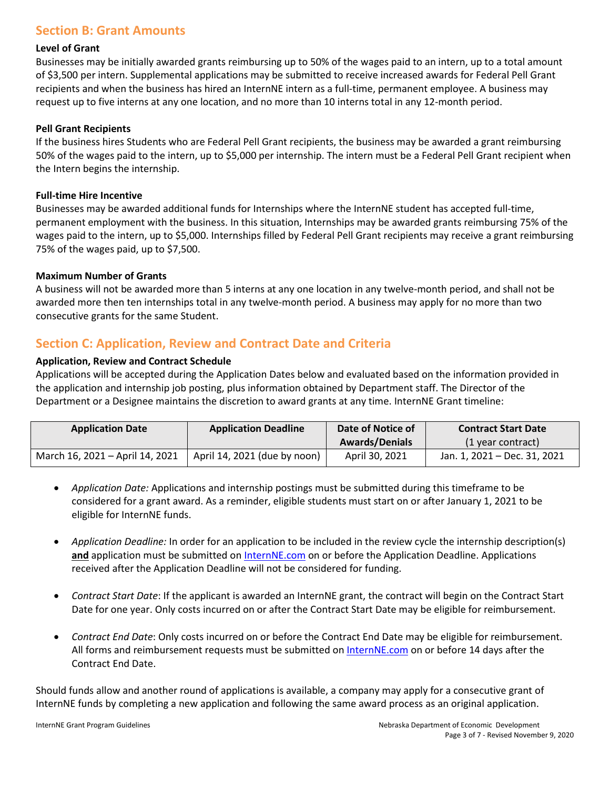## <span id="page-2-0"></span>**Section B: Grant Amounts**

#### **Level of Grant**

Businesses may be initially awarded grants reimbursing up to 50% of the wages paid to an intern, up to a total amount of \$3,500 per intern. Supplemental applications may be submitted to receive increased awards for Federal Pell Grant recipients and when the business has hired an InternNE intern as a full-time, permanent employee. A business may request up to five interns at any one location, and no more than 10 interns total in any 12-month period.

#### **Pell Grant Recipients**

If the business hires Students who are Federal Pell Grant recipients, the business may be awarded a grant reimbursing 50% of the wages paid to the intern, up to \$5,000 per internship. The intern must be a Federal Pell Grant recipient when the Intern begins the internship.

#### **Full-time Hire Incentive**

Businesses may be awarded additional funds for Internships where the InternNE student has accepted full-time, permanent employment with the business. In this situation, Internships may be awarded grants reimbursing 75% of the wages paid to the intern, up to \$5,000. Internships filled by Federal Pell Grant recipients may receive a grant reimbursing 75% of the wages paid, up to \$7,500.

#### **Maximum Number of Grants**

A business will not be awarded more than 5 interns at any one location in any twelve-month period, and shall not be awarded more then ten internships total in any twelve-month period. A business may apply for no more than two consecutive grants for the same Student.

## <span id="page-2-1"></span>**Section C: Application, Review and Contract Date and Criteria**

#### **Application, Review and Contract Schedule**

Applications will be accepted during the Application Dates below and evaluated based on the information provided in the application and internship job posting, plus information obtained by Department staff. The Director of the Department or a Designee maintains the discretion to award grants at any time. InternNE Grant timeline:

| <b>Application Date</b>         | <b>Application Deadline</b>  | Date of Notice of     | <b>Contract Start Date</b>   |
|---------------------------------|------------------------------|-----------------------|------------------------------|
|                                 |                              | <b>Awards/Denials</b> | (1 year contract)            |
| March 16, 2021 – April 14, 2021 | April 14, 2021 (due by noon) | April 30, 2021        | Jan. 1, 2021 - Dec. 31, 2021 |

- *Application Date:* Applications and internship postings must be submitted during this timeframe to be considered for a grant award. As a reminder, eligible students must start on or after January 1, 2021 to be eligible for InternNE funds.
- *Application Deadline:* In order for an application to be included in the review cycle the internship description(s) and application must be submitted on [InternNE.com](https://www.internne.com/) on or before the Application Deadline. Applications received after the Application Deadline will not be considered for funding.
- *Contract Start Date*: If the applicant is awarded an InternNE grant, the contract will begin on the Contract Start Date for one year. Only costs incurred on or after the Contract Start Date may be eligible for reimbursement.
- *Contract End Date*: Only costs incurred on or before the Contract End Date may be eligible for reimbursement. All forms and reimbursement requests must be submitted on [InternNE.com](https://www.internne.com/) on or before 14 days after the Contract End Date.

Should funds allow and another round of applications is available, a company may apply for a consecutive grant of InternNE funds by completing a new application and following the same award process as an original application.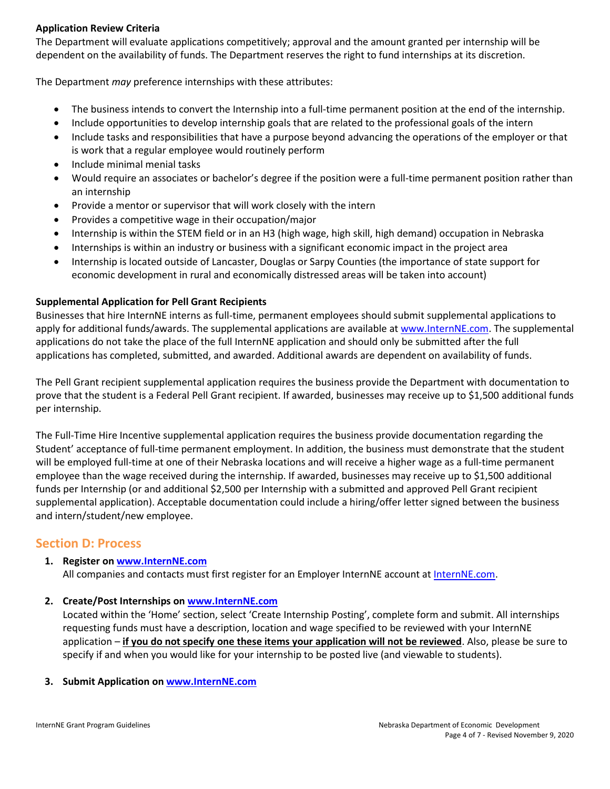### **Application Review Criteria**

The Department will evaluate applications competitively; approval and the amount granted per internship will be dependent on the availability of funds. The Department reserves the right to fund internships at its discretion.

The Department *may* preference internships with these attributes:

- The business intends to convert the Internship into a full-time permanent position at the end of the internship.
- Include opportunities to develop internship goals that are related to the professional goals of the intern
- Include tasks and responsibilities that have a purpose beyond advancing the operations of the employer or that is work that a regular employee would routinely perform
- Include minimal menial tasks
- Would require an associates or bachelor's degree if the position were a full-time permanent position rather than an internship
- Provide a mentor or supervisor that will work closely with the intern
- Provides a competitive wage in their occupation/major
- Internship is within the STEM field or in an H3 (high wage, high skill, high demand) occupation in Nebraska
- Internships is within an industry or business with a significant economic impact in the project area
- Internship is located outside of Lancaster, Douglas or Sarpy Counties (the importance of state support for economic development in rural and economically distressed areas will be taken into account)

## **Supplemental Application for Pell Grant Recipients**

Businesses that hire InternNE interns as full-time, permanent employees should submit supplemental applications to apply for additional funds/awards. The supplemental applications are available at [www.InternNE.com.](http://www.internne.com/) The supplemental applications do not take the place of the full InternNE application and should only be submitted after the full applications has completed, submitted, and awarded. Additional awards are dependent on availability of funds.

The Pell Grant recipient supplemental application requires the business provide the Department with documentation to prove that the student is a Federal Pell Grant recipient. If awarded, businesses may receive up to \$1,500 additional funds per internship.

The Full-Time Hire Incentive supplemental application requires the business provide documentation regarding the Student' acceptance of full-time permanent employment. In addition, the business must demonstrate that the student will be employed full-time at one of their Nebraska locations and will receive a higher wage as a full-time permanent employee than the wage received during the internship. If awarded, businesses may receive up to \$1,500 additional funds per Internship (or and additional \$2,500 per Internship with a submitted and approved Pell Grant recipient supplemental application). Acceptable documentation could include a hiring/offer letter signed between the business and intern/student/new employee.

## <span id="page-3-0"></span>**Section D: Process**

### **1. Register on [www.InternNE.com](http://www.internne.com/)**

All companies and contacts must first register for an Employer InternNE account at [InternNE.com.](https://www.internne.com/)

**2. Create/Post Internships on [www.InternNE.com](http://www.internne.com/)**

Located within the 'Home' section, select 'Create Internship Posting', complete form and submit. All internships requesting funds must have a description, location and wage specified to be reviewed with your InternNE application – **if you do not specify one these items your application will not be reviewed**. Also, please be sure to specify if and when you would like for your internship to be posted live (and viewable to students).

### **3. Submit Application on [www.InternNE.com](http://www.internne.com/)**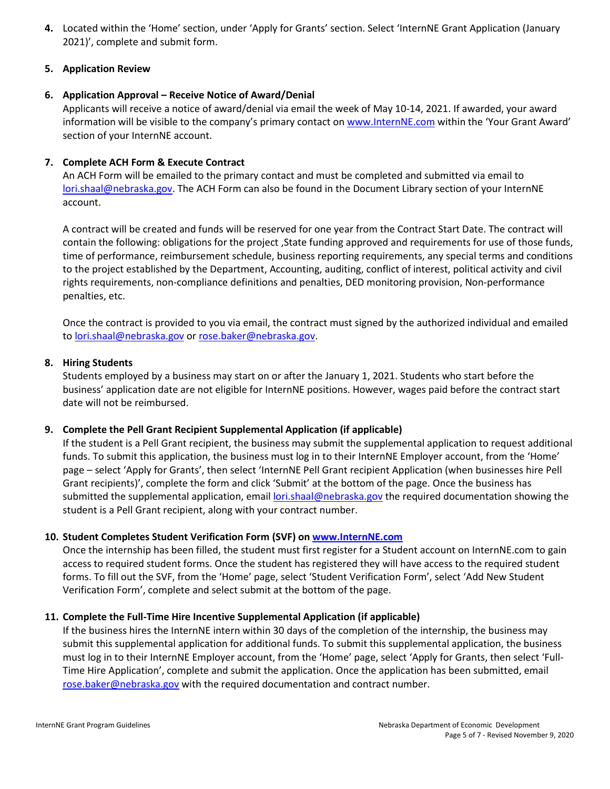**4.** Located within the 'Home' section, under 'Apply for Grants' section. Select 'InternNE Grant Application (January 2021)', complete and submit form.

### **5. Application Review**

### **6. Application Approval – Receive Notice of Award/Denial**

Applicants will receive a notice of award/denial via email the week of May 10-14, 2021. If awarded, your award information will be visible to the company's primary contact on [www.InternNE.com](http://www.internne.com/) within the 'Your Grant Award' section of your InternNE account.

## **7. Complete ACH Form & Execute Contract**

An ACH Form will be emailed to the primary contact and must be completed and submitted via email to [lori.shaal@nebraska.gov.](mailto:lori.shaal@nebraska.gov) The ACH Form can also be found in the Document Library section of your InternNE account.

A contract will be created and funds will be reserved for one year from the Contract Start Date. The contract will contain the following: obligations for the project ,State funding approved and requirements for use of those funds, time of performance, reimbursement schedule, business reporting requirements, any special terms and conditions to the project established by the Department, Accounting, auditing, conflict of interest, political activity and civil rights requirements, non-compliance definitions and penalties, DED monitoring provision, Non-performance penalties, etc.

Once the contract is provided to you via email, the contract must signed by the authorized individual and emailed to [lori.shaal@nebraska.gov](mailto:lori.shaal@nebraska.gov) or [rose.baker@nebraska.gov.](mailto:rose.baker@nebraska.gov)

### **8. Hiring Students**

Students employed by a business may start on or after the January 1, 2021. Students who start before the business' application date are not eligible for InternNE positions. However, wages paid before the contract start date will not be reimbursed.

### **9. Complete the Pell Grant Recipient Supplemental Application (if applicable)**

If the student is a Pell Grant recipient, the business may submit the supplemental application to request additional funds. To submit this application, the business must log in to their InternNE Employer account, from the 'Home' page – select 'Apply for Grants', then select 'InternNE Pell Grant recipient Application (when businesses hire Pell Grant recipients)', complete the form and click 'Submit' at the bottom of the page. Once the business has submitted the supplemental application, email [lori.shaal@nebraska.gov](mailto:lori.shaal@nebraska.gov) the required documentation showing the student is a Pell Grant recipient, along with your contract number.

### **10. Student Completes Student Verification Form (SVF) o[n www.InternNE.com](http://www.internne.com/)**

Once the internship has been filled, the student must first register for a Student account on InternNE.com to gain access to required student forms. Once the student has registered they will have access to the required student forms. To fill out the SVF, from the 'Home' page, select 'Student Verification Form', select 'Add New Student Verification Form', complete and select submit at the bottom of the page.

### **11. Complete the Full-Time Hire Incentive Supplemental Application (if applicable)**

If the business hires the InternNE intern within 30 days of the completion of the internship, the business may submit this supplemental application for additional funds. To submit this supplemental application, the business must log in to their InternNE Employer account, from the 'Home' page, select 'Apply for Grants, then select 'Full-Time Hire Application', complete and submit the application. Once the application has been submitted, email [rose.baker@nebraska.gov](mailto:rose.baker@nebraska.gov) with the required documentation and contract number.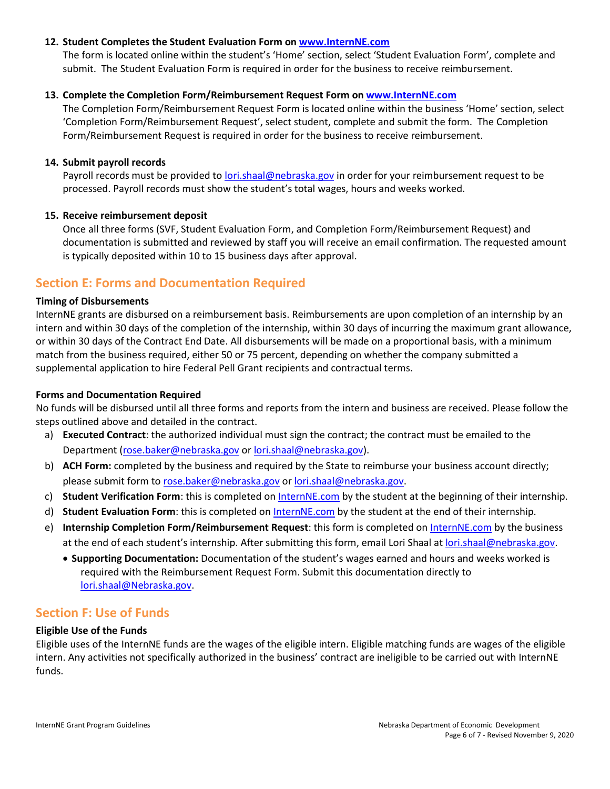### **12. Student Completes the Student Evaluation Form on [www.InternNE.com](http://www.internne.com/)**

The form is located online within the student's 'Home' section, select 'Student Evaluation Form', complete and submit. The Student Evaluation Form is required in order for the business to receive reimbursement.

#### **13. Complete the Completion Form/Reimbursement Request Form o[n www.InternNE.com](http://www.internne.com/)**

The Completion Form/Reimbursement Request Form is located online within the business 'Home' section, select 'Completion Form/Reimbursement Request', select student, complete and submit the form. The Completion Form/Reimbursement Request is required in order for the business to receive reimbursement.

#### **14. Submit payroll records**

Payroll records must be provided t[o lori.shaal@nebraska.gov](mailto:lori.shaal@nebraska.gov) in order for your reimbursement request to be processed. Payroll records must show the student's total wages, hours and weeks worked.

#### **15. Receive reimbursement deposit**

Once all three forms (SVF, Student Evaluation Form, and Completion Form/Reimbursement Request) and documentation is submitted and reviewed by staff you will receive an email confirmation. The requested amount is typically deposited within 10 to 15 business days after approval.

## <span id="page-5-0"></span>**Section E: Forms and Documentation Required**

#### **Timing of Disbursements**

InternNE grants are disbursed on a reimbursement basis. Reimbursements are upon completion of an internship by an intern and within 30 days of the completion of the internship, within 30 days of incurring the maximum grant allowance, or within 30 days of the Contract End Date. All disbursements will be made on a proportional basis, with a minimum match from the business required, either 50 or 75 percent, depending on whether the company submitted a supplemental application to hire Federal Pell Grant recipients and contractual terms.

#### **Forms and Documentation Required**

No funds will be disbursed until all three forms and reports from the intern and business are received. Please follow the steps outlined above and detailed in the contract.

- a) **Executed Contract**: the authorized individual must sign the contract; the contract must be emailed to the Department [\(rose.baker@nebraska.gov](mailto:rose.baker@nebraska.gov) or [lori.shaal@nebraska.gov\)](mailto:lori.shaal@nebraska.gov).
- b) **ACH Form:** completed by the business and required by the State to reimburse your business account directly; please submit form to [rose.baker@nebraska.gov](mailto:rose.baker@nebraska.gov) or [lori.shaal@nebraska.gov.](mailto:lori.shaal@nebraska.gov)
- c) **Student Verification Form**: this is completed on [InternNE.com](http://www.internne.com/) by the student at the beginning of their internship.
- d) **Student Evaluation Form**: this is completed on [InternNE.com](http://www.internne.com/) by the student at the end of their internship.
- e) **Internship Completion Form/Reimbursement Request**: this form is completed on [InternNE.com](http://www.internne.com/) by the business at the end of each student's internship. After submitting this form, email Lori Shaal at [lori.shaal@nebraska.gov.](mailto:lori.shaal@nebraska.gov)
	- **Supporting Documentation:** Documentation of the student's wages earned and hours and weeks worked is required with the Reimbursement Request Form. Submit this documentation directly to [lori.shaal@Nebraska.gov.](mailto:lori.shaal@Nebraska.gov)

## <span id="page-5-1"></span>**Section F: Use of Funds**

#### **Eligible Use of the Funds**

<span id="page-5-2"></span>Eligible uses of the InternNE funds are the wages of the eligible intern. Eligible matching funds are wages of the eligible intern. Any activities not specifically authorized in the business' contract are ineligible to be carried out with InternNE funds.